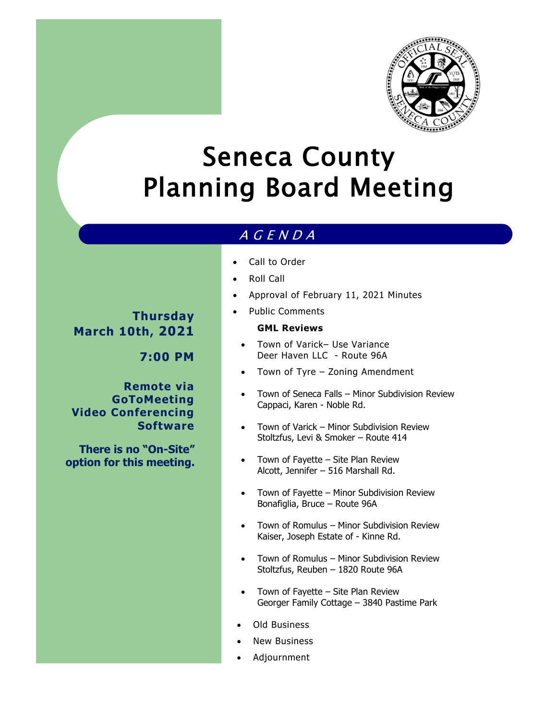

# Seneca County Planning Board Meeting

## A G E N D A

- Call to Order
- Roll Call
- Approval of February 11, 2021 Minutes
- Public Comments

#### **GML Reviews**

- Town of Varick– Use Variance Deer Haven LLC - Route 96A
- Town of Tyre Zoning Amendment
- Town of Seneca Falls Minor Subdivision Review Cappaci, Karen - Noble Rd.
- Town of Varick Minor Subdivision Review Stoltzfus, Levi & Smoker – Route 414
- Town of Fayette Site Plan Review Alcott, Jennifer – 516 Marshall Rd.
- Town of Fayette Minor Subdivision Review Bonafiglia, Bruce – Route 96A
- Town of Romulus Minor Subdivision Review Kaiser, Joseph Estate of - Kinne Rd.
- Town of Romulus Minor Subdivision Review Stoltzfus, Reuben – 1820 Route 96A
- Town of Fayette Site Plan Review Georger Family Cottage – 3840 Pastime Park
- Old Business
- New Business
- Adjournment

**Thursday March 10th, 2021**

**7:00 PM**

**Remote via GoToMeeting Video Conferencing Software**

**There is no "On-Site" option for this meeting.**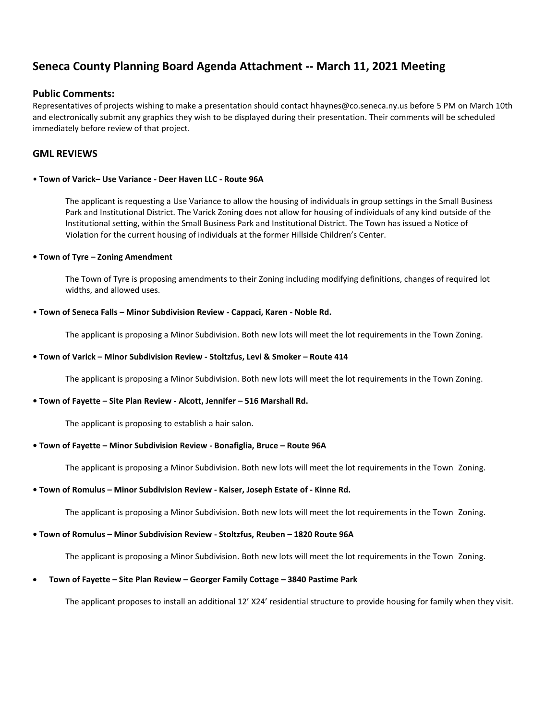### **Seneca County Planning Board Agenda Attachment -- March 11, 2021 Meeting**

#### **Public Comments:**

Representatives of projects wishing to make a presentation should contact hhaynes@co.seneca.ny.us before 5 PM on March 10th and electronically submit any graphics they wish to be displayed during their presentation. Their comments will be scheduled immediately before review of that project.

#### **GML REVIEWS**

#### • **Town of Varick– Use Variance - Deer Haven LLC - Route 96A**

The applicant is requesting a Use Variance to allow the housing of individuals in group settings in the Small Business Park and Institutional District. The Varick Zoning does not allow for housing of individuals of any kind outside of the Institutional setting, within the Small Business Park and Institutional District. The Town has issued a Notice of Violation for the current housing of individuals at the former Hillside Children's Center.

#### **• Town of Tyre – Zoning Amendment**

The Town of Tyre is proposing amendments to their Zoning including modifying definitions, changes of required lot widths, and allowed uses.

#### • **Town of Seneca Falls – Minor Subdivision Review - Cappaci, Karen - Noble Rd.**

The applicant is proposing a Minor Subdivision. Both new lots will meet the lot requirements in the Town Zoning.

#### **• Town of Varick – Minor Subdivision Review - Stoltzfus, Levi & Smoker – Route 414**

The applicant is proposing a Minor Subdivision. Both new lots will meet the lot requirements in the Town Zoning.

#### **• Town of Fayette – Site Plan Review - Alcott, Jennifer – 516 Marshall Rd.**

The applicant is proposing to establish a hair salon.

#### **• Town of Fayette – Minor Subdivision Review - Bonafiglia, Bruce – Route 96A**

The applicant is proposing a Minor Subdivision. Both new lots will meet the lot requirements in the Town Zoning.

#### **• Town of Romulus – Minor Subdivision Review - Kaiser, Joseph Estate of - Kinne Rd.**

The applicant is proposing a Minor Subdivision. Both new lots will meet the lot requirements in the Town Zoning.

#### **• Town of Romulus – Minor Subdivision Review - Stoltzfus, Reuben – 1820 Route 96A**

The applicant is proposing a Minor Subdivision. Both new lots will meet the lot requirements in the Town Zoning.

#### **Town of Fayette – Site Plan Review – Georger Family Cottage – 3840 Pastime Park**

The applicant proposes to install an additional 12' X24' residential structure to provide housing for family when they visit.